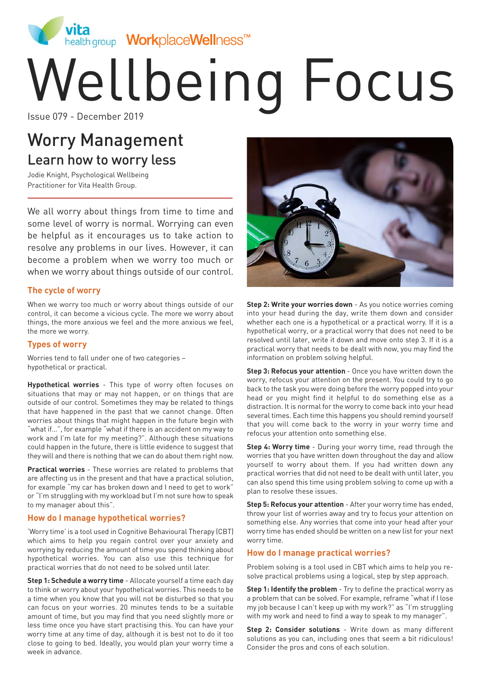

# Wellbeing Focus

# Worry Management Learn how to worry less

Jodie Knight, Psychological Wellbeing Practitioner for Vita Health Group.

We all worry about things from time to time and some level of worry is normal. Worrying can even be helpful as it encourages us to take action to resolve any problems in our lives. However, it can become a problem when we worry too much or when we worry about things outside of our control.

### **The cycle of worry**

When we worry too much or worry about things outside of our control, it can become a vicious cycle. The more we worry about things, the more anxious we feel and the more anxious we feel, the more we worry.

### **Types of worry**

Worries tend to fall under one of two categories – hypothetical or practical.

**Hypothetical worries** - This type of worry often focuses on situations that may or may not happen, or on things that are outside of our control. Sometimes they may be related to things that have happened in the past that we cannot change. Often worries about things that might happen in the future begin with "what if…", for example "what if there is an accident on my way to work and I'm late for my meeting?". Although these situations could happen in the future, there is little evidence to suggest that they will and there is nothing that we can do about them right now.

**Practical worries** - These worries are related to problems that are affecting us in the present and that have a practical solution, for example "my car has broken down and I need to get to work" or "I'm struggling with my workload but I'm not sure how to speak to my manager about this".

### **How do I manage hypothetical worries?**

'Worry time' is a tool used in Cognitive Behavioural Therapy (CBT) which aims to help you regain control over your anxiety and worrying by reducing the amount of time you spend thinking about hypothetical worries. You can also use this technique for practical worries that do not need to be solved until later.

**Step 1: Schedule a worry time** - Allocate yourself a time each day to think or worry about your hypothetical worries. This needs to be a time when you know that you will not be disturbed so that you can focus on your worries. 20 minutes tends to be a suitable amount of time, but you may find that you need slightly more or less time once you have start practising this. You can have your worry time at any time of day, although it is best not to do it too close to going to bed. Ideally, you would plan your worry time a week in advance.



**Step 2: Write your worries down** - As you notice worries coming into your head during the day, write them down and consider whether each one is a hypothetical or a practical worry. If it is a hypothetical worry, or a practical worry that does not need to be resolved until later, write it down and move onto step 3. If it is a practical worry that needs to be dealt with now, you may find the information on problem solving helpful.

**Step 3: Refocus your attention** - Once you have written down the worry, refocus your attention on the present. You could try to go back to the task you were doing before the worry popped into your head or you might find it helpful to do something else as a distraction. It is normal for the worry to come back into your head several times. Each time this happens you should remind yourself that you will come back to the worry in your worry time and refocus your attention onto something else.

**Step 4: Worry time** - During your worry time, read through the worries that you have written down throughout the day and allow yourself to worry about them. If you had written down any practical worries that did not need to be dealt with until later, you can also spend this time using problem solving to come up with a plan to resolve these issues.

**Step 5: Refocus your attention** - After your worry time has ended, throw your list of worries away and try to focus your attention on something else. Any worries that come into your head after your worry time has ended should be written on a new list for your next worry time.

### **How do I manage practical worries?**

Problem solving is a tool used in CBT which aims to help you resolve practical problems using a logical, step by step approach.

**Step 1: Identify the problem** - Try to define the practical worry as a problem that can be solved. For example, reframe "what if I lose my job because I can't keep up with my work?" as "I'm struggling with my work and need to find a way to speak to my manager".

**Step 2: Consider solutions** - Write down as many different solutions as you can, including ones that seem a bit ridiculous! Consider the pros and cons of each solution.